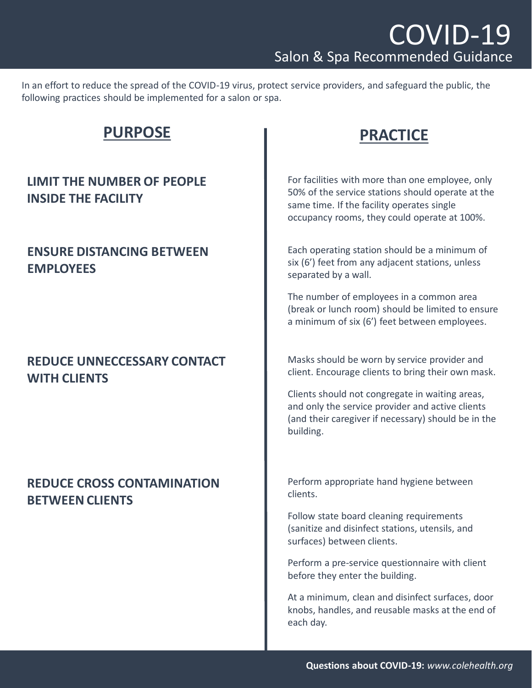In an effort to reduce the spread of the COVID-19 virus, protect service providers, and safeguard the public, the following practices should be implemented for a salon or spa.

# **PURPOSE PRACTICE**

## **LIMIT THE NUMBER OF PEOPLE INSIDE THE FACILITY**

#### **ENSURE DISTANCING BETWEEN EMPLOYEES**

## **REDUCE UNNECCESSARY CONTACT WITH CLIENTS**

## **REDUCE CROSS CONTAMINATION BETWEEN CLIENTS**

For facilities with more than one employee, only 50% of the service stations should operate at the same time. If the facility operates single occupancy rooms, they could operate at 100%.

Each operating station should be a minimum of six (6') feet from any adjacent stations, unless separated by a wall.

The number of employees in a common area (break or lunch room) should be limited to ensure a minimum of six (6') feet between employees.

Masks should be worn by service provider and client. Encourage clients to bring their own mask.

Clients should not congregate in waiting areas, and only the service provider and active clients (and their caregiver if necessary) should be in the building.

Perform appropriate hand hygiene between clients.

Follow state board cleaning requirements (sanitize and disinfect stations, utensils, and surfaces) between clients.

Perform a pre-service questionnaire with client before they enter the building.

At a minimum, clean and disinfect surfaces, door knobs, handles, and reusable masks at the end of each day.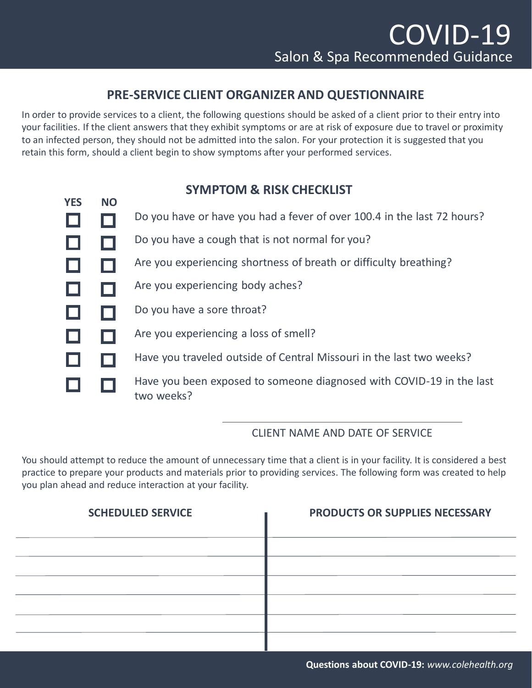#### **PRE-SERVICE CLIENT ORGANIZER AND QUESTIONNAIRE**

In order to provide services to a client, the following questions should be asked of a client prior to their entry into your facilities. If the client answers that they exhibit symptoms or are at risk of exposure due to travel or proximity to an infected person, they should not be admitted into the salon. For your protection it is suggested that you retain this form, should a client begin to show symptoms after your performed services.

## **SYMPTOM & RISK CHECKLIST**

| <b>YES</b> | <b>NO</b> |                                                                                    |
|------------|-----------|------------------------------------------------------------------------------------|
|            |           | Do you have or have you had a fever of over 100.4 in the last 72 hours?            |
|            |           | Do you have a cough that is not normal for you?                                    |
| L          |           | Are you experiencing shortness of breath or difficulty breathing?                  |
|            |           | Are you experiencing body aches?                                                   |
| $\Box$     |           | Do you have a sore throat?                                                         |
| ப          |           | Are you experiencing a loss of smell?                                              |
|            |           | Have you traveled outside of Central Missouri in the last two weeks?               |
|            |           | Have you been exposed to someone diagnosed with COVID-19 in the last<br>two weeks? |

#### CLIENT NAME AND DATE OF SERVICE

You should attempt to reduce the amount of unnecessary time that a client is in your facility. It is considered a best practice to prepare your products and materials prior to providing services. The following form was created to help you plan ahead and reduce interaction at your facility.

| <b>SCHEDULED SERVICE</b> | PRODUCTS OR SUPPLIES NECESSARY |
|--------------------------|--------------------------------|
|                          |                                |
|                          |                                |
|                          |                                |
|                          |                                |
|                          |                                |
|                          |                                |